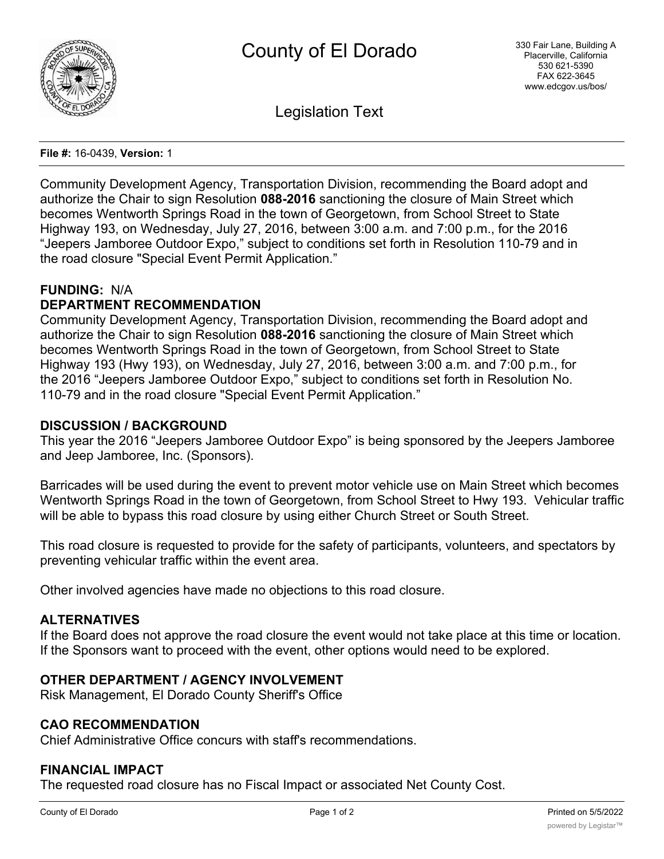

Legislation Text

#### **File #:** 16-0439, **Version:** 1

Community Development Agency, Transportation Division, recommending the Board adopt and authorize the Chair to sign Resolution **088-2016** sanctioning the closure of Main Street which becomes Wentworth Springs Road in the town of Georgetown, from School Street to State Highway 193, on Wednesday, July 27, 2016, between 3:00 a.m. and 7:00 p.m., for the 2016 "Jeepers Jamboree Outdoor Expo," subject to conditions set forth in Resolution 110-79 and in the road closure "Special Event Permit Application."

#### **FUNDING:** N/A

## **DEPARTMENT RECOMMENDATION**

Community Development Agency, Transportation Division, recommending the Board adopt and authorize the Chair to sign Resolution **088-2016** sanctioning the closure of Main Street which becomes Wentworth Springs Road in the town of Georgetown, from School Street to State Highway 193 (Hwy 193), on Wednesday, July 27, 2016, between 3:00 a.m. and 7:00 p.m., for the 2016 "Jeepers Jamboree Outdoor Expo," subject to conditions set forth in Resolution No. 110-79 and in the road closure "Special Event Permit Application."

#### **DISCUSSION / BACKGROUND**

This year the 2016 "Jeepers Jamboree Outdoor Expo" is being sponsored by the Jeepers Jamboree and Jeep Jamboree, Inc. (Sponsors).

Barricades will be used during the event to prevent motor vehicle use on Main Street which becomes Wentworth Springs Road in the town of Georgetown, from School Street to Hwy 193. Vehicular traffic will be able to bypass this road closure by using either Church Street or South Street.

This road closure is requested to provide for the safety of participants, volunteers, and spectators by preventing vehicular traffic within the event area.

Other involved agencies have made no objections to this road closure.

#### **ALTERNATIVES**

If the Board does not approve the road closure the event would not take place at this time or location. If the Sponsors want to proceed with the event, other options would need to be explored.

### **OTHER DEPARTMENT / AGENCY INVOLVEMENT**

Risk Management, El Dorado County Sheriff's Office

### **CAO RECOMMENDATION**

Chief Administrative Office concurs with staff's recommendations.

#### **FINANCIAL IMPACT**

The requested road closure has no Fiscal Impact or associated Net County Cost.